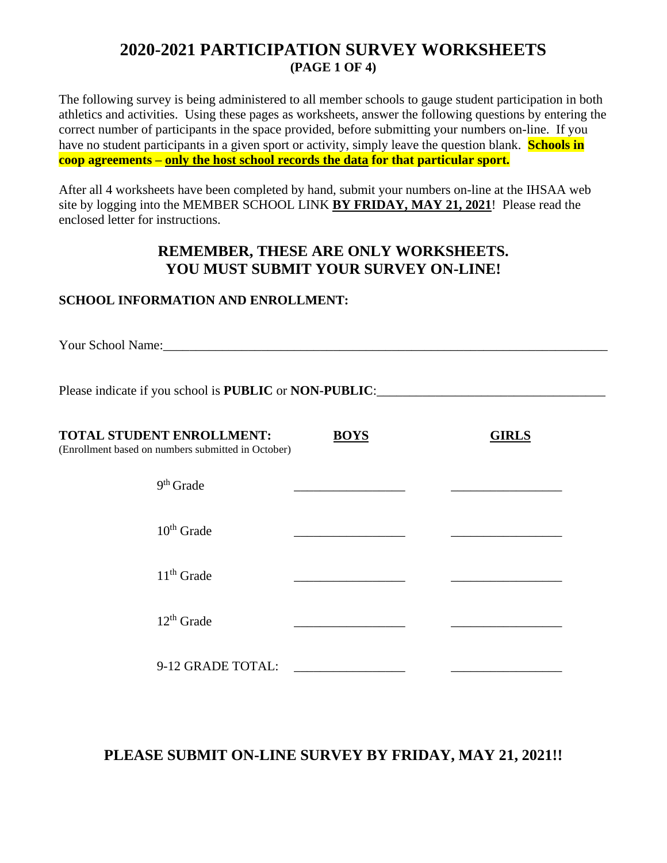# **2020-2021 PARTICIPATION SURVEY WORKSHEETS (PAGE 1 OF 4)**

The following survey is being administered to all member schools to gauge student participation in both athletics and activities. Using these pages as worksheets, answer the following questions by entering the correct number of participants in the space provided, before submitting your numbers on-line. If you have no student participants in a given sport or activity, simply leave the question blank. **Schools in coop agreements – only the host school records the data for that particular sport.**

After all 4 worksheets have been completed by hand, submit your numbers on-line at the IHSAA web site by logging into the MEMBER SCHOOL LINK **BY FRIDAY, MAY 21, 2021**! Please read the enclosed letter for instructions.

## **REMEMBER, THESE ARE ONLY WORKSHEETS. YOU MUST SUBMIT YOUR SURVEY ON-LINE!**

### **SCHOOL INFORMATION AND ENROLLMENT:**

Your School Name:\_\_\_\_\_\_\_\_\_\_\_\_\_\_\_\_\_\_\_\_\_\_\_\_\_\_\_\_\_\_\_\_\_\_\_\_\_\_\_\_\_\_\_\_\_\_\_\_\_\_\_\_\_\_\_\_\_\_\_\_\_\_\_\_\_\_\_\_

Please indicate if you school is **PUBLIC** or **NON-PUBLIC**:

| <b>TOTAL STUDENT ENROLLMENT:</b><br>(Enrollment based on numbers submitted in October) | <b>BOYS</b> | <b>GIRLS</b> |
|----------------------------------------------------------------------------------------|-------------|--------------|
| $9th$ Grade                                                                            |             |              |
| $10^{th}$ Grade                                                                        |             |              |
| $11th$ Grade                                                                           |             |              |
| $12^{th}$ Grade                                                                        |             |              |
| 9-12 GRADE TOTAL:                                                                      |             |              |

**PLEASE SUBMIT ON-LINE SURVEY BY FRIDAY, MAY 21, 2021!!**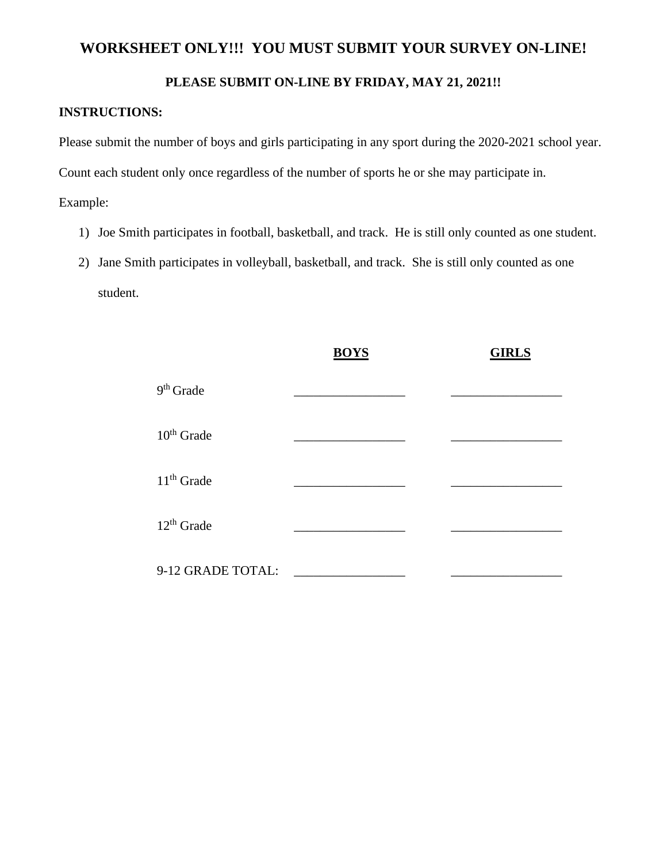### **WORKSHEET ONLY!!! YOU MUST SUBMIT YOUR SURVEY ON-LINE!**

#### **PLEASE SUBMIT ON-LINE BY FRIDAY, MAY 21, 2021!!**

#### **INSTRUCTIONS:**

Please submit the number of boys and girls participating in any sport during the 2020-2021 school year.

Count each student only once regardless of the number of sports he or she may participate in.

Example:

- 1) Joe Smith participates in football, basketball, and track. He is still only counted as one student.
- 2) Jane Smith participates in volleyball, basketball, and track. She is still only counted as one student.

|                   | <b>BOYS</b> | <b>GIRLS</b> |
|-------------------|-------------|--------------|
| $9th$ Grade       |             |              |
| $10th$ Grade      |             |              |
| $11th$ Grade      |             |              |
| $12th$ Grade      |             |              |
| 9-12 GRADE TOTAL: |             |              |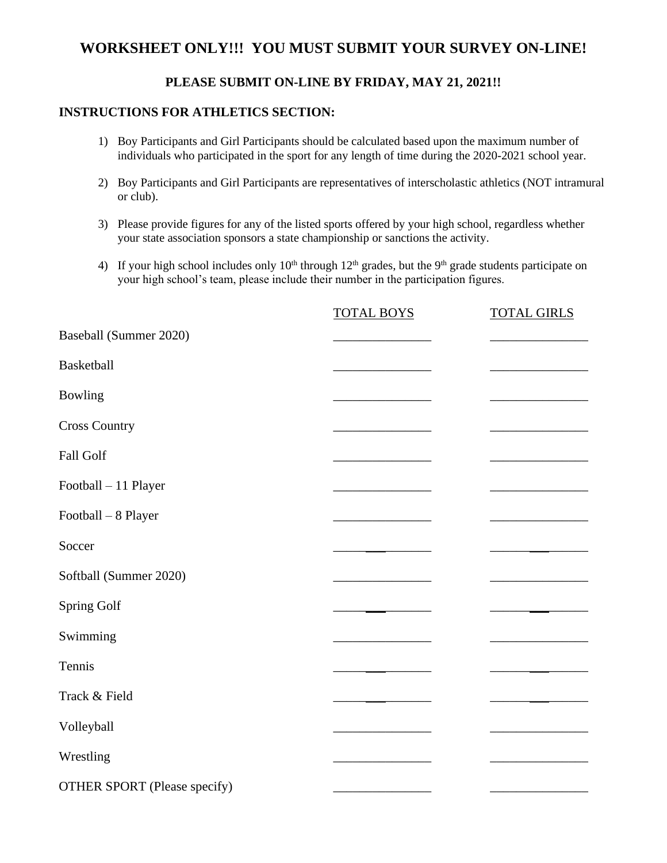## **WORKSHEET ONLY!!! YOU MUST SUBMIT YOUR SURVEY ON-LINE!**

### **PLEASE SUBMIT ON-LINE BY FRIDAY, MAY 21, 2021!!**

#### **INSTRUCTIONS FOR ATHLETICS SECTION:**

- 1) Boy Participants and Girl Participants should be calculated based upon the maximum number of individuals who participated in the sport for any length of time during the 2020-2021 school year.
- 2) Boy Participants and Girl Participants are representatives of interscholastic athletics (NOT intramural or club).
- 3) Please provide figures for any of the listed sports offered by your high school, regardless whether your state association sponsors a state championship or sanctions the activity.
- 4) If your high school includes only  $10<sup>th</sup>$  through  $12<sup>th</sup>$  grades, but the 9<sup>th</sup> grade students participate on your high school's team, please include their number in the participation figures.

|                                     | <b>TOTAL BOYS</b> | <b>TOTAL GIRLS</b> |
|-------------------------------------|-------------------|--------------------|
| Baseball (Summer 2020)              |                   |                    |
| <b>Basketball</b>                   |                   |                    |
| Bowling                             |                   |                    |
| <b>Cross Country</b>                |                   |                    |
| Fall Golf                           |                   |                    |
| Football - 11 Player                |                   |                    |
| Football - 8 Player                 |                   |                    |
| Soccer                              |                   |                    |
| Softball (Summer 2020)              |                   |                    |
| Spring Golf                         |                   |                    |
| Swimming                            |                   |                    |
| Tennis                              |                   |                    |
| Track & Field                       |                   |                    |
| Volleyball                          |                   |                    |
| Wrestling                           |                   |                    |
| <b>OTHER SPORT (Please specify)</b> |                   |                    |